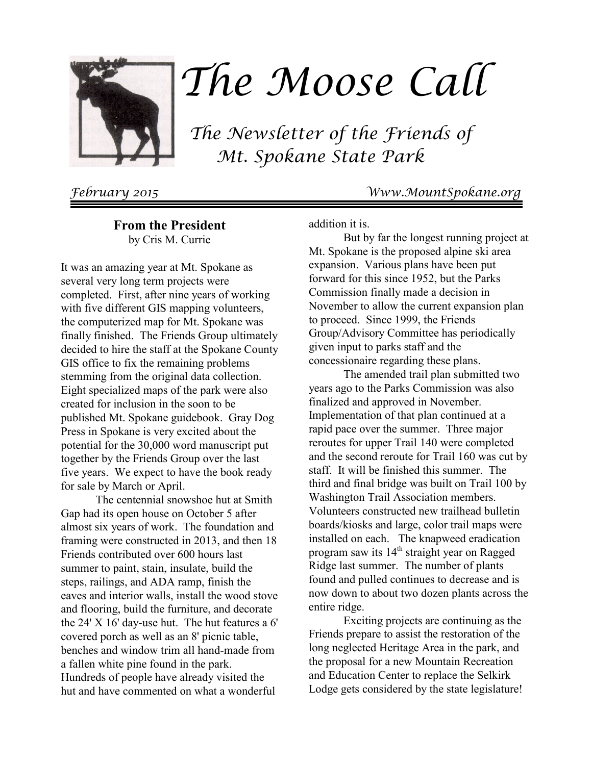

# The Moose Call

 The Newsletter of the Friends of Mt. Spokane State Park

February 2015 Www.MountSpokane.org

**From the President** by Cris M. Currie

It was an amazing year at Mt. Spokane as several very long term projects were completed. First, after nine years of working with five different GIS mapping volunteers, the computerized map for Mt. Spokane was finally finished. The Friends Group ultimately decided to hire the staff at the Spokane County GIS office to fix the remaining problems stemming from the original data collection. Eight specialized maps of the park were also created for inclusion in the soon to be published Mt. Spokane guidebook. Gray Dog Press in Spokane is very excited about the potential for the 30,000 word manuscript put together by the Friends Group over the last five years. We expect to have the book ready for sale by March or April.

The centennial snowshoe hut at Smith Gap had its open house on October 5 after almost six years of work. The foundation and framing were constructed in 2013, and then 18 Friends contributed over 600 hours last summer to paint, stain, insulate, build the steps, railings, and ADA ramp, finish the eaves and interior walls, install the wood stove and flooring, build the furniture, and decorate the 24' X 16' day-use hut. The hut features a 6' covered porch as well as an 8' picnic table, benches and window trim all hand-made from a fallen white pine found in the park. Hundreds of people have already visited the hut and have commented on what a wonderful

addition it is.

But by far the longest running project at Mt. Spokane is the proposed alpine ski area expansion. Various plans have been put forward for this since 1952, but the Parks Commission finally made a decision in November to allow the current expansion plan to proceed. Since 1999, the Friends Group/Advisory Committee has periodically given input to parks staff and the concessionaire regarding these plans.

The amended trail plan submitted two years ago to the Parks Commission was also finalized and approved in November. Implementation of that plan continued at a rapid pace over the summer. Three major reroutes for upper Trail 140 were completed and the second reroute for Trail 160 was cut by staff. It will be finished this summer. The third and final bridge was built on Trail 100 by Washington Trail Association members. Volunteers constructed new trailhead bulletin boards/kiosks and large, color trail maps were installed on each. The knapweed eradication program saw its 14<sup>th</sup> straight year on Ragged Ridge last summer. The number of plants found and pulled continues to decrease and is now down to about two dozen plants across the entire ridge.

Exciting projects are continuing as the Friends prepare to assist the restoration of the long neglected Heritage Area in the park, and the proposal for a new Mountain Recreation and Education Center to replace the Selkirk Lodge gets considered by the state legislature!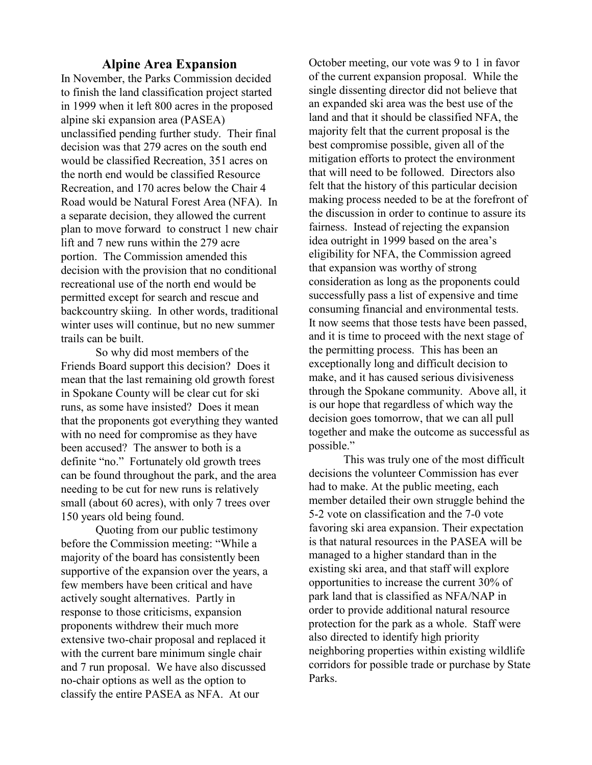#### **Alpine Area Expansion**

In November, the Parks Commission decided to finish the land classification project started in 1999 when it left 800 acres in the proposed alpine ski expansion area (PASEA) unclassified pending further study. Their final decision was that 279 acres on the south end would be classified Recreation, 351 acres on the north end would be classified Resource Recreation, and 170 acres below the Chair 4 Road would be Natural Forest Area (NFA). In a separate decision, they allowed the current plan to move forward to construct 1 new chair lift and 7 new runs within the 279 acre portion. The Commission amended this decision with the provision that no conditional recreational use of the north end would be permitted except for search and rescue and backcountry skiing. In other words, traditional winter uses will continue, but no new summer trails can be built.

So why did most members of the Friends Board support this decision? Does it mean that the last remaining old growth forest in Spokane County will be clear cut for ski runs, as some have insisted? Does it mean that the proponents got everything they wanted with no need for compromise as they have been accused? The answer to both is a definite "no." Fortunately old growth trees can be found throughout the park, and the area needing to be cut for new runs is relatively small (about 60 acres), with only 7 trees over 150 years old being found.

Quoting from our public testimony before the Commission meeting: "While a majority of the board has consistently been supportive of the expansion over the years, a few members have been critical and have actively sought alternatives. Partly in response to those criticisms, expansion proponents withdrew their much more extensive two-chair proposal and replaced it with the current bare minimum single chair and 7 run proposal. We have also discussed no-chair options as well as the option to classify the entire PASEA as NFA. At our

October meeting, our vote was 9 to 1 in favor of the current expansion proposal. While the single dissenting director did not believe that an expanded ski area was the best use of the land and that it should be classified NFA, the majority felt that the current proposal is the best compromise possible, given all of the mitigation efforts to protect the environment that will need to be followed. Directors also felt that the history of this particular decision making process needed to be at the forefront of the discussion in order to continue to assure its fairness. Instead of rejecting the expansion idea outright in 1999 based on the area's eligibility for NFA, the Commission agreed that expansion was worthy of strong consideration as long as the proponents could successfully pass a list of expensive and time consuming financial and environmental tests. It now seems that those tests have been passed, and it is time to proceed with the next stage of the permitting process. This has been an exceptionally long and difficult decision to make, and it has caused serious divisiveness through the Spokane community. Above all, it is our hope that regardless of which way the decision goes tomorrow, that we can all pull together and make the outcome as successful as possible."

This was truly one of the most difficult decisions the volunteer Commission has ever had to make. At the public meeting, each member detailed their own struggle behind the 5-2 vote on classification and the 7-0 vote favoring ski area expansion. Their expectation is that natural resources in the PASEA will be managed to a higher standard than in the existing ski area, and that staff will explore opportunities to increase the current 30% of park land that is classified as NFA/NAP in order to provide additional natural resource protection for the park as a whole. Staff were also directed to identify high priority neighboring properties within existing wildlife corridors for possible trade or purchase by State Parks.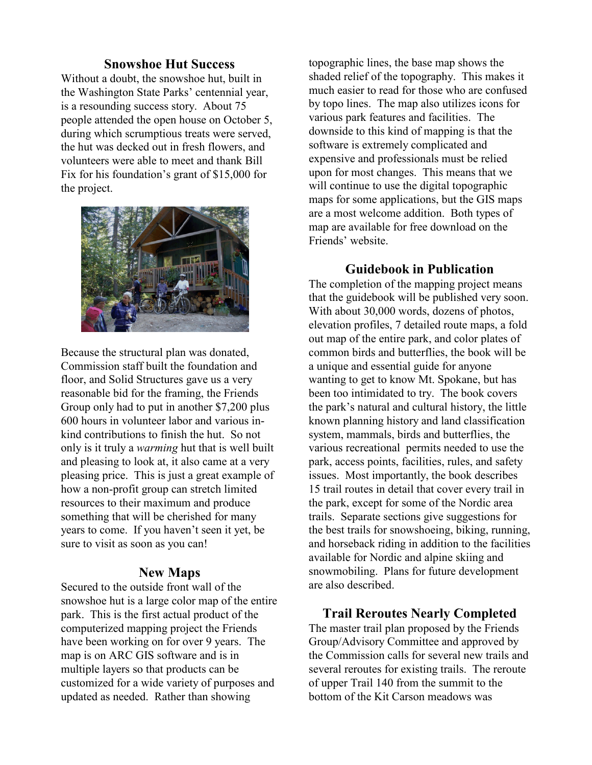# **Snowshoe Hut Success**

Without a doubt, the snowshoe hut, built in the Washington State Parks' centennial year, is a resounding success story. About 75 people attended the open house on October 5, during which scrumptious treats were served, the hut was decked out in fresh flowers, and volunteers were able to meet and thank Bill Fix for his foundation's grant of \$15,000 for the project.



Because the structural plan was donated, Commission staff built the foundation and floor, and Solid Structures gave us a very reasonable bid for the framing, the Friends Group only had to put in another \$7,200 plus 600 hours in volunteer labor and various inkind contributions to finish the hut. So not only is it truly a *warming* hut that is well built and pleasing to look at, it also came at a very pleasing price. This is just a great example of how a non-profit group can stretch limited resources to their maximum and produce something that will be cherished for many years to come. If you haven't seen it yet, be sure to visit as soon as you can!

#### **New Maps**

Secured to the outside front wall of the snowshoe hut is a large color map of the entire park. This is the first actual product of the computerized mapping project the Friends have been working on for over 9 years. The map is on ARC GIS software and is in multiple layers so that products can be customized for a wide variety of purposes and updated as needed. Rather than showing

topographic lines, the base map shows the shaded relief of the topography. This makes it much easier to read for those who are confused by topo lines. The map also utilizes icons for various park features and facilities. The downside to this kind of mapping is that the software is extremely complicated and expensive and professionals must be relied upon for most changes. This means that we will continue to use the digital topographic maps for some applications, but the GIS maps are a most welcome addition. Both types of map are available for free download on the Friends' website.

### **Guidebook in Publication**

The completion of the mapping project means that the guidebook will be published very soon. With about 30,000 words, dozens of photos, elevation profiles, 7 detailed route maps, a fold out map of the entire park, and color plates of common birds and butterflies, the book will be a unique and essential guide for anyone wanting to get to know Mt. Spokane, but has been too intimidated to try. The book covers the park's natural and cultural history, the little known planning history and land classification system, mammals, birds and butterflies, the various recreational permits needed to use the park, access points, facilities, rules, and safety issues. Most importantly, the book describes 15 trail routes in detail that cover every trail in the park, except for some of the Nordic area trails. Separate sections give suggestions for the best trails for snowshoeing, biking, running, and horseback riding in addition to the facilities available for Nordic and alpine skiing and snowmobiling. Plans for future development are also described.

## **Trail Reroutes Nearly Completed**

The master trail plan proposed by the Friends Group/Advisory Committee and approved by the Commission calls for several new trails and several reroutes for existing trails. The reroute of upper Trail 140 from the summit to the bottom of the Kit Carson meadows was